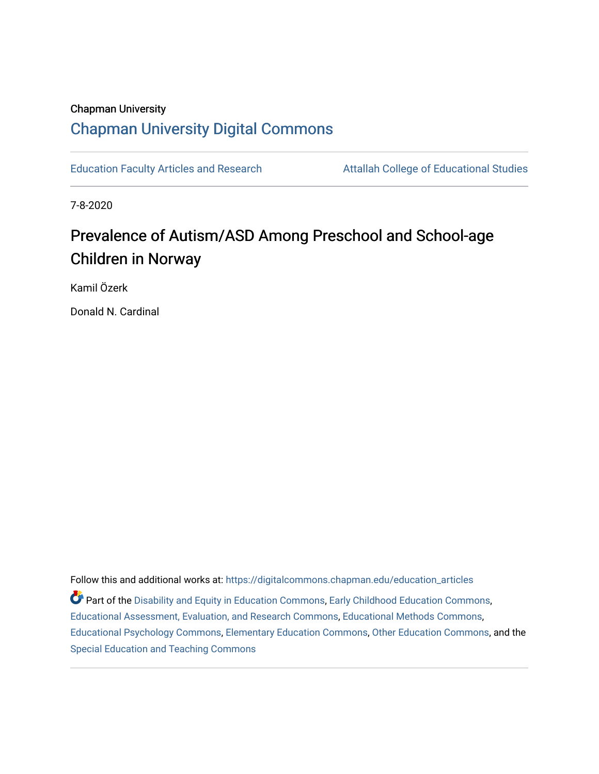## Chapman University [Chapman University Digital Commons](https://digitalcommons.chapman.edu/)

[Education Faculty Articles and Research](https://digitalcommons.chapman.edu/education_articles) **Attallah College of Educational Studies** 

7-8-2020

# Prevalence of Autism/ASD Among Preschool and School-age Children in Norway

Kamil Özerk

Donald N. Cardinal

Follow this and additional works at: [https://digitalcommons.chapman.edu/education\\_articles](https://digitalcommons.chapman.edu/education_articles?utm_source=digitalcommons.chapman.edu%2Feducation_articles%2F261&utm_medium=PDF&utm_campaign=PDFCoverPages) Part of the [Disability and Equity in Education Commons](http://network.bepress.com/hgg/discipline/1040?utm_source=digitalcommons.chapman.edu%2Feducation_articles%2F261&utm_medium=PDF&utm_campaign=PDFCoverPages), [Early Childhood Education Commons](http://network.bepress.com/hgg/discipline/1377?utm_source=digitalcommons.chapman.edu%2Feducation_articles%2F261&utm_medium=PDF&utm_campaign=PDFCoverPages), [Educational Assessment, Evaluation, and Research Commons,](http://network.bepress.com/hgg/discipline/796?utm_source=digitalcommons.chapman.edu%2Feducation_articles%2F261&utm_medium=PDF&utm_campaign=PDFCoverPages) [Educational Methods Commons,](http://network.bepress.com/hgg/discipline/1227?utm_source=digitalcommons.chapman.edu%2Feducation_articles%2F261&utm_medium=PDF&utm_campaign=PDFCoverPages) [Educational Psychology Commons](http://network.bepress.com/hgg/discipline/798?utm_source=digitalcommons.chapman.edu%2Feducation_articles%2F261&utm_medium=PDF&utm_campaign=PDFCoverPages), [Elementary Education Commons](http://network.bepress.com/hgg/discipline/1378?utm_source=digitalcommons.chapman.edu%2Feducation_articles%2F261&utm_medium=PDF&utm_campaign=PDFCoverPages), [Other Education Commons](http://network.bepress.com/hgg/discipline/811?utm_source=digitalcommons.chapman.edu%2Feducation_articles%2F261&utm_medium=PDF&utm_campaign=PDFCoverPages), and the [Special Education and Teaching Commons](http://network.bepress.com/hgg/discipline/801?utm_source=digitalcommons.chapman.edu%2Feducation_articles%2F261&utm_medium=PDF&utm_campaign=PDFCoverPages)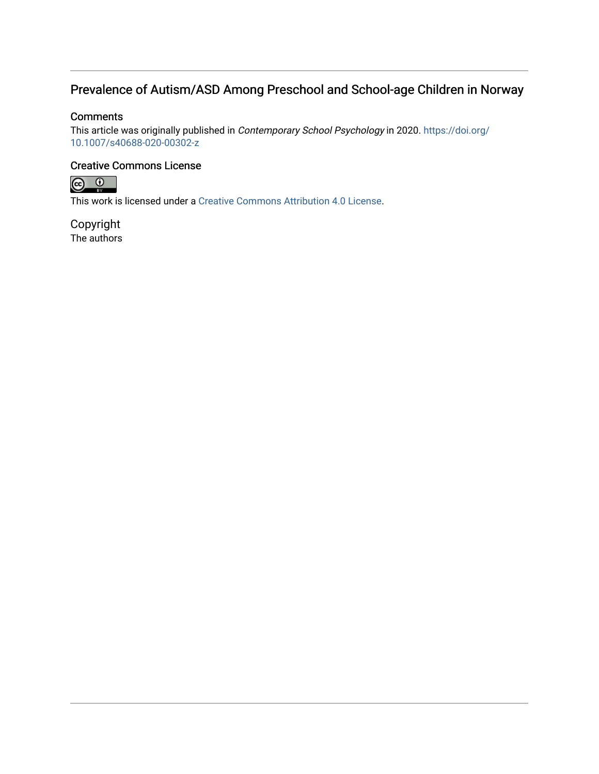### Prevalence of Autism/ASD Among Preschool and School-age Children in Norway

### **Comments**

This article was originally published in Contemporary School Psychology in 2020. [https://doi.org/](https://doi.org/10.1007/s40688-020-00302-z) [10.1007/s40688-020-00302-z](https://doi.org/10.1007/s40688-020-00302-z) 

### Creative Commons License



This work is licensed under a [Creative Commons Attribution 4.0 License](https://creativecommons.org/licenses/by/4.0/).

Copyright The authors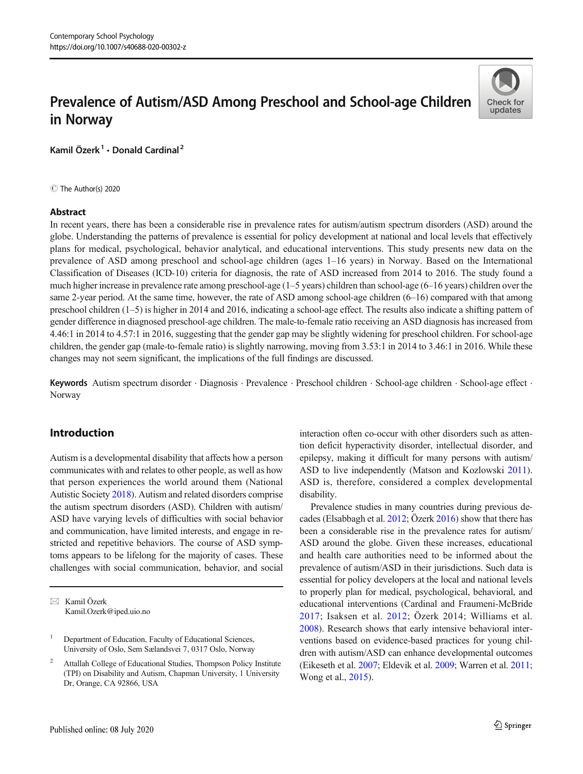## Prevalence of Autism/ASD Among Preschool and School-age Children in Norway



Kamil Özerk<sup>1</sup> · Donald Cardinal<sup>2</sup>

C The Author(s) 2020

#### Abstract

In recent years, there has been a considerable rise in prevalence rates for autism/autism spectrum disorders (ASD) around the globe. Understanding the patterns of prevalence is essential for policy development at national and local levels that effectively plans for medical, psychological, behavior analytical, and educational interventions. This study presents new data on the prevalence of ASD among preschool and school-age children (ages 1–16 years) in Norway. Based on the International Classification of Diseases (ICD-10) criteria for diagnosis, the rate of ASD increased from 2014 to 2016. The study found a much higher increase in prevalence rate among preschool-age (1–5 years) children than school-age (6–16 years) children over the same 2-year period. At the same time, however, the rate of ASD among school-age children (6–16) compared with that among preschool children (1–5) is higher in 2014 and 2016, indicating a school-age effect. The results also indicate a shifting pattern of gender difference in diagnosed preschool-age children. The male-to-female ratio receiving an ASD diagnosis has increased from 4.46:1 in 2014 to 4.57:1 in 2016, suggesting that the gender gap may be slightly widening for preschool children. For school-age children, the gender gap (male-to-female ratio) is slightly narrowing, moving from 3.53:1 in 2014 to 3.46:1 in 2016. While these changes may not seem significant, the implications of the full findings are discussed.

Keywords Autism spectrum disorder . Diagnosis . Prevalence . Preschool children . School-age children . School-age effect . Norway

#### Introduction

Autism is a developmental disability that affects how a person communicates with and relates to other people, as well as how that person experiences the world around them (National Autistic Society [2018](#page-11-0)). Autism and related disorders comprise the autism spectrum disorders (ASD). Children with autism/ ASD have varying levels of difficulties with social behavior and communication, have limited interests, and engage in restricted and repetitive behaviors. The course of ASD symptoms appears to be lifelong for the majority of cases. These challenges with social communication, behavior, and social

 $\boxtimes$  Kamil Özerk [Kamil.Ozerk@iped.uio.no](mailto:Kamil.Ozerk@iped.uio.no)

interaction often co-occur with other disorders such as attention deficit hyperactivity disorder, intellectual disorder, and epilepsy, making it difficult for many persons with autism/ ASD to live independently (Matson and Kozlowski [2011\)](#page-11-0). ASD is, therefore, considered a complex developmental disability.

Prevalence studies in many countries during previous decades (Elsabbagh et al. [2012](#page-10-0); Özerk [2016](#page-11-0)) show that there has been a considerable rise in the prevalence rates for autism/ ASD around the globe. Given these increases, educational and health care authorities need to be informed about the prevalence of autism/ASD in their jurisdictions. Such data is essential for policy developers at the local and national levels to properly plan for medical, psychological, behavioral, and educational interventions (Cardinal and Fraumeni-McBride [2017](#page-10-0); Isaksen et al. [2012](#page-11-0); Özerk 2014; Williams et al. [2008\)](#page-11-0). Research shows that early intensive behavioral interventions based on evidence-based practices for young children with autism/ASD can enhance developmental outcomes (Eikeseth et al. [2007;](#page-10-0) Eldevik et al. [2009](#page-10-0); Warren et al. [2011;](#page-11-0) Wong et al., [2015](#page-11-0)).

<sup>1</sup> Department of Education, Faculty of Educational Sciences, University of Oslo, Sem Sælandsvei 7, 0317 Oslo, Norway

<sup>&</sup>lt;sup>2</sup> Attallah College of Educational Studies, Thompson Policy Institute (TPI) on Disability and Autism, Chapman University, 1 University Dr, Orange, CA 92866, USA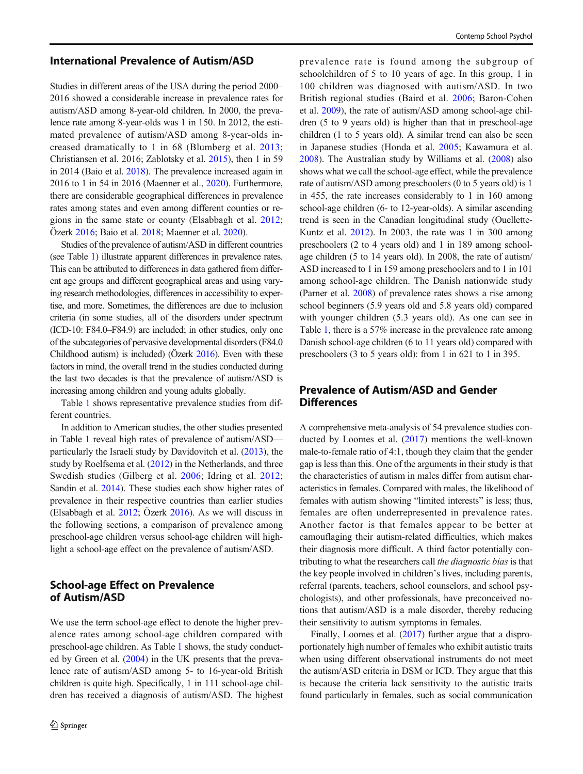#### International Prevalence of Autism/ASD

Studies in different areas of the USA during the period 2000– 2016 showed a considerable increase in prevalence rates for autism/ASD among 8-year-old children. In 2000, the prevalence rate among 8-year-olds was 1 in 150. In 2012, the estimated prevalence of autism/ASD among 8-year-olds increased dramatically to 1 in 68 (Blumberg et al. [2013](#page-10-0); Christiansen et al. 2016; Zablotsky et al. [2015\)](#page-11-0), then 1 in 59 in 2014 (Baio et al. [2018\)](#page-10-0). The prevalence increased again in 2016 to 1 in 54 in 2016 (Maenner et al., [2020](#page-11-0)). Furthermore, there are considerable geographical differences in prevalence rates among states and even among different counties or regions in the same state or county (Elsabbagh et al. [2012](#page-10-0); Özerk [2016;](#page-11-0) Baio et al. [2018](#page-10-0); Maenner et al. [2020\)](#page-11-0).

Studies of the prevalence of autism/ASD in different countries (see Table [1\)](#page-4-0) illustrate apparent differences in prevalence rates. This can be attributed to differences in data gathered from different age groups and different geographical areas and using varying research methodologies, differences in accessibility to expertise, and more. Sometimes, the differences are due to inclusion criteria (in some studies, all of the disorders under spectrum (ICD-10: F84.0–F84.9) are included; in other studies, only one of the subcategories of pervasive developmental disorders (F84.0 Childhood autism) is included) (Özerk [2016](#page-11-0)). Even with these factors in mind, the overall trend in the studies conducted during the last two decades is that the prevalence of autism/ASD is increasing among children and young adults globally.

Table [1](#page-4-0) shows representative prevalence studies from different countries.

In addition to American studies, the other studies presented in Table [1](#page-4-0) reveal high rates of prevalence of autism/ASD particularly the Israeli study by Davidovitch et al. ([2013](#page-10-0)), the study by Roelfsema et al. ([2012](#page-11-0)) in the Netherlands, and three Swedish studies (Gilberg et al. [2006](#page-10-0); Idring et al. [2012](#page-11-0); Sandin et al. [2014\)](#page-11-0). These studies each show higher rates of prevalence in their respective countries than earlier studies (Elsabbagh et al. [2012;](#page-10-0) Özerk [2016\)](#page-11-0). As we will discuss in the following sections, a comparison of prevalence among preschool-age children versus school-age children will highlight a school-age effect on the prevalence of autism/ASD.

#### School-age Effect on Prevalence of Autism/ASD

We use the term school-age effect to denote the higher prevalence rates among school-age children compared with preschool-age children. As Table [1](#page-4-0) shows, the study conducted by Green et al. ([2004](#page-11-0)) in the UK presents that the prevalence rate of autism/ASD among 5- to 16-year-old British children is quite high. Specifically, 1 in 111 school-age children has received a diagnosis of autism/ASD. The highest prevalence rate is found among the subgroup of schoolchildren of 5 to 10 years of age. In this group, 1 in 100 children was diagnosed with autism/ASD. In two British regional studies (Baird et al. [2006;](#page-10-0) Baron-Cohen et al. [2009](#page-10-0)), the rate of autism/ASD among school-age children (5 to 9 years old) is higher than that in preschool-age children (1 to 5 years old). A similar trend can also be seen in Japanese studies (Honda et al. [2005;](#page-11-0) Kawamura et al. [2008\)](#page-11-0). The Australian study by Williams et al. [\(2008\)](#page-11-0) also shows what we call the school-age effect, while the prevalence rate of autism/ASD among preschoolers (0 to 5 years old) is 1 in 455, the rate increases considerably to 1 in 160 among school-age children (6- to 12-year-olds). A similar ascending trend is seen in the Canadian longitudinal study (Ouellette-Kuntz et al. [2012\)](#page-11-0). In 2003, the rate was 1 in 300 among preschoolers (2 to 4 years old) and 1 in 189 among schoolage children (5 to 14 years old). In 2008, the rate of autism/ ASD increased to 1 in 159 among preschoolers and to 1 in 101 among school-age children. The Danish nationwide study (Parner et al. [2008](#page-11-0)) of prevalence rates shows a rise among school beginners (5.9 years old and 5.8 years old) compared with younger children (5.3 years old). As one can see in Table [1,](#page-4-0) there is a 57% increase in the prevalence rate among Danish school-age children (6 to 11 years old) compared with preschoolers (3 to 5 years old): from 1 in 621 to 1 in 395.

#### Prevalence of Autism/ASD and Gender **Differences**

A comprehensive meta-analysis of 54 prevalence studies conducted by Loomes et al. ([2017\)](#page-11-0) mentions the well-known male-to-female ratio of 4:1, though they claim that the gender gap is less than this. One of the arguments in their study is that the characteristics of autism in males differ from autism characteristics in females. Compared with males, the likelihood of females with autism showing "limited interests" is less; thus, females are often underrepresented in prevalence rates. Another factor is that females appear to be better at camouflaging their autism-related difficulties, which makes their diagnosis more difficult. A third factor potentially contributing to what the researchers call the diagnostic bias is that the key people involved in children's lives, including parents, referral (parents, teachers, school counselors, and school psychologists), and other professionals, have preconceived notions that autism/ASD is a male disorder, thereby reducing their sensitivity to autism symptoms in females.

Finally, Loomes et al. [\(2017\)](#page-11-0) further argue that a disproportionately high number of females who exhibit autistic traits when using different observational instruments do not meet the autism/ASD criteria in DSM or ICD. They argue that this is because the criteria lack sensitivity to the autistic traits found particularly in females, such as social communication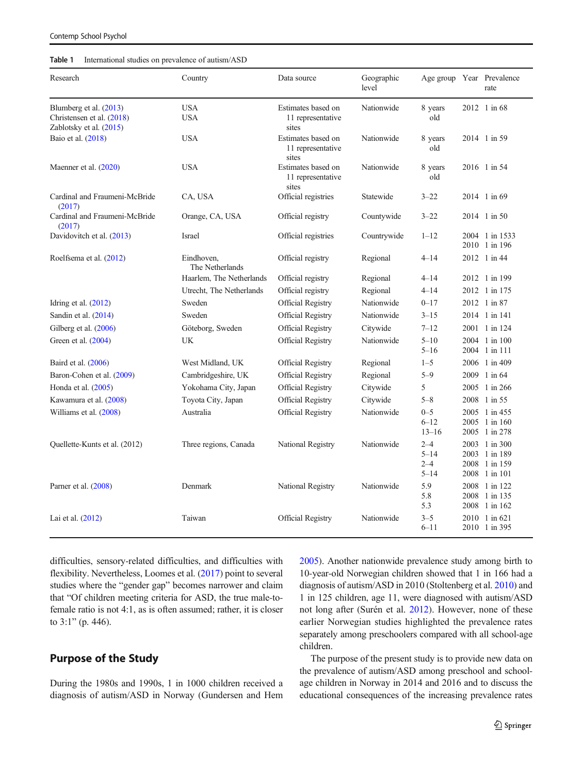#### <span id="page-4-0"></span>Table 1 International studies on prevalence of autism/ASD

| Research                                                                         | Country                       | Data source                                      | Geographic<br>level |                                            | Age group Year Prevalence<br>rate                                |
|----------------------------------------------------------------------------------|-------------------------------|--------------------------------------------------|---------------------|--------------------------------------------|------------------------------------------------------------------|
| Blumberg et al. (2013)<br>Christensen et al. (2018)<br>Zablotsky et al. $(2015)$ | <b>USA</b><br><b>USA</b>      | Estimates based on<br>11 representative<br>sites | Nationwide          | 8 years<br>old                             | 2012 1 in 68                                                     |
| Baio et al. (2018)                                                               | <b>USA</b>                    | Estimates based on<br>11 representative<br>sites | Nationwide          | 8 years<br>old                             | 2014 1 in 59                                                     |
| Maenner et al. $(2020)$                                                          | <b>USA</b>                    | Estimates based on<br>11 representative<br>sites | Nationwide          | 8 years<br>old                             | 2016 1 in 54                                                     |
| Cardinal and Fraumeni-McBride<br>(2017)                                          | CA, USA                       | Official registries                              | Statewide           | $3 - 22$                                   | 2014 1 in 69                                                     |
| Cardinal and Fraumeni-McBride<br>(2017)                                          | Orange, CA, USA               | Official registry                                | Countywide          | $3 - 22$                                   | 2014 1 in 50                                                     |
| Davidovitch et al. (2013)                                                        | Israel                        | Official registries                              | Countrywide         | $1 - 12$                                   | 2004 1 in 1533<br>2010 1 in 196                                  |
| Roelfsema et al. (2012)                                                          | Eindhoven,<br>The Netherlands | Official registry                                | Regional            | $4 - 14$                                   | 2012 1 in 44                                                     |
|                                                                                  | Haarlem, The Netherlands      | Official registry                                | Regional            | $4 - 14$                                   | 2012 1 in 199                                                    |
|                                                                                  | Utrecht, The Netherlands      | Official registry                                | Regional            | $4 - 14$                                   | 2012 1 in 175                                                    |
| Idring et al. $(2012)$                                                           | Sweden                        | Official Registry                                | Nationwide          | $0 - 17$                                   | 2012 1 in 87                                                     |
| Sandin et al. $(2014)$                                                           | Sweden                        | Official Registry                                | Nationwide          | $3 - 15$                                   | 2014 1 in 141                                                    |
| Gilberg et al. (2006)                                                            | Göteborg, Sweden              | Official Registry                                | Citywide            | $7 - 12$                                   | 2001 1 in 124                                                    |
| Green et al. (2004)                                                              | UK.                           | Official Registry                                | Nationwide          | $5 - 10$<br>$5 - 16$                       | 2004 1 in 100<br>2004 1 in 111                                   |
| Baird et al. (2006)                                                              | West Midland, UK              | Official Registry                                | Regional            | $1 - 5$                                    | 2006 1 in 409                                                    |
| Baron-Cohen et al. (2009)                                                        | Cambridgeshire, UK            | Official Registry                                | Regional            | $5 - 9$                                    | 2009 1 in 64                                                     |
| Honda et al. (2005)                                                              | Yokohama City, Japan          | Official Registry                                | Citywide            | 5                                          | 2005 1 in 266                                                    |
| Kawamura et al. (2008)                                                           | Toyota City, Japan            | Official Registry                                | Citywide            | $5 - 8$                                    | 2008 1 in 55                                                     |
| Williams et al. (2008)                                                           | Australia                     | Official Registry                                | Nationwide          | $0 - 5$<br>$6 - 12$<br>$13 - 16$           | 2005 1 in 455<br>2005 1 in 160<br>2005 1 in 278                  |
| Quellette-Kunts et al. (2012)                                                    | Three regions, Canada         | National Registry                                | Nationwide          | $2 - 4$<br>$5 - 14$<br>$2 - 4$<br>$5 - 14$ | 2003 1 in 300<br>2003 1 in 189<br>2008 1 in 159<br>2008 1 in 101 |
| Parner et al. (2008)                                                             | Denmark                       | National Registry                                | Nationwide          | 5.9<br>5.8<br>5.3                          | 2008 1 in 122<br>2008 1 in 135<br>2008 1 in 162                  |
| Lai et al. (2012)                                                                | Taiwan                        | Official Registry                                | Nationwide          | $3 - 5$<br>$6 - 11$                        | 2010 1 in 621<br>2010 1 in 395                                   |

difficulties, sensory-related difficulties, and difficulties with flexibility. Nevertheless, Loomes et al. [\(2017\)](#page-11-0) point to several studies where the "gender gap" becomes narrower and claim that "Of children meeting criteria for ASD, the true male-tofemale ratio is not 4:1, as is often assumed; rather, it is closer to 3:1" (p. 446).

#### Purpose of the Study

During the 1980s and 1990s, 1 in 1000 children received a diagnosis of autism/ASD in Norway (Gundersen and Hem [2005\)](#page-11-0). Another nationwide prevalence study among birth to 10-year-old Norwegian children showed that 1 in 166 had a diagnosis of autism/ASD in 2010 (Stoltenberg et al. [2010\)](#page-11-0) and 1 in 125 children, age 11, were diagnosed with autism/ASD not long after (Surén et al. [2012](#page-11-0)). However, none of these earlier Norwegian studies highlighted the prevalence rates separately among preschoolers compared with all school-age children.

The purpose of the present study is to provide new data on the prevalence of autism/ASD among preschool and schoolage children in Norway in 2014 and 2016 and to discuss the educational consequences of the increasing prevalence rates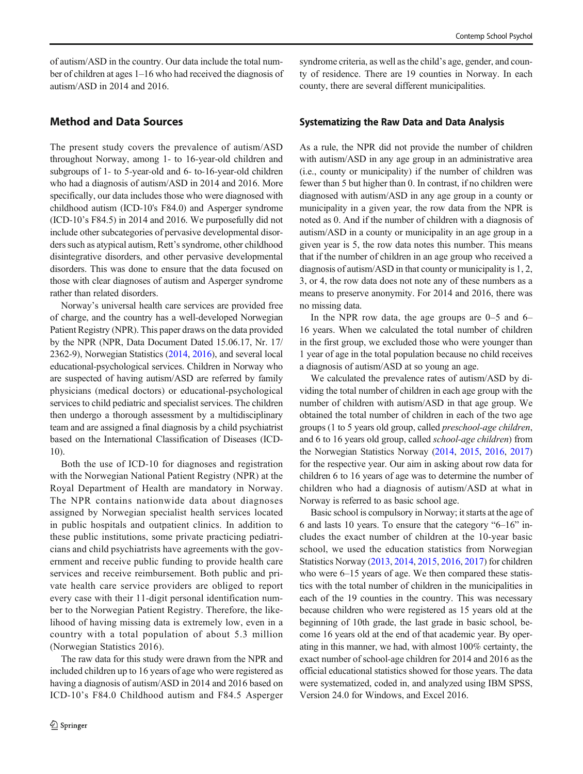of autism/ASD in the country. Our data include the total number of children at ages 1–16 who had received the diagnosis of autism/ASD in 2014 and 2016.

#### Method and Data Sources

The present study covers the prevalence of autism/ASD throughout Norway, among 1- to 16-year-old children and subgroups of 1- to 5-year-old and 6- to-16-year-old children who had a diagnosis of autism/ASD in 2014 and 2016. More specifically, our data includes those who were diagnosed with childhood autism (ICD-10's F84.0) and Asperger syndrome (ICD-10's F84.5) in 2014 and 2016. We purposefully did not include other subcategories of pervasive developmental disorders such as atypical autism, Rett's syndrome, other childhood disintegrative disorders, and other pervasive developmental disorders. This was done to ensure that the data focused on those with clear diagnoses of autism and Asperger syndrome rather than related disorders.

Norway's universal health care services are provided free of charge, and the country has a well-developed Norwegian Patient Registry (NPR). This paper draws on the data provided by the NPR (NPR, Data Document Dated 15.06.17, Nr. 17/ 2362-9), Norwegian Statistics [\(2014,](#page-11-0) [2016](#page-11-0)), and several local educational-psychological services. Children in Norway who are suspected of having autism/ASD are referred by family physicians (medical doctors) or educational-psychological services to child pediatric and specialist services. The children then undergo a thorough assessment by a multidisciplinary team and are assigned a final diagnosis by a child psychiatrist based on the International Classification of Diseases (ICD-10).

Both the use of ICD-10 for diagnoses and registration with the Norwegian National Patient Registry (NPR) at the Royal Department of Health are mandatory in Norway. The NPR contains nationwide data about diagnoses assigned by Norwegian specialist health services located in public hospitals and outpatient clinics. In addition to these public institutions, some private practicing pediatricians and child psychiatrists have agreements with the government and receive public funding to provide health care services and receive reimbursement. Both public and private health care service providers are obliged to report every case with their 11-digit personal identification number to the Norwegian Patient Registry. Therefore, the likelihood of having missing data is extremely low, even in a country with a total population of about 5.3 million (Norwegian Statistics 2016).

The raw data for this study were drawn from the NPR and included children up to 16 years of age who were registered as having a diagnosis of autism/ASD in 2014 and 2016 based on ICD-10's F84.0 Childhood autism and F84.5 Asperger syndrome criteria, as well as the child's age, gender, and county of residence. There are 19 counties in Norway. In each county, there are several different municipalities.

#### Systematizing the Raw Data and Data Analysis

As a rule, the NPR did not provide the number of children with autism/ASD in any age group in an administrative area (i.e., county or municipality) if the number of children was fewer than 5 but higher than 0. In contrast, if no children were diagnosed with autism/ASD in any age group in a county or municipality in a given year, the row data from the NPR is noted as 0. And if the number of children with a diagnosis of autism/ASD in a county or municipality in an age group in a given year is 5, the row data notes this number. This means that if the number of children in an age group who received a diagnosis of autism/ASD in that county or municipality is 1, 2, 3, or 4, the row data does not note any of these numbers as a means to preserve anonymity. For 2014 and 2016, there was no missing data.

In the NPR row data, the age groups are 0–5 and 6– 16 years. When we calculated the total number of children in the first group, we excluded those who were younger than 1 year of age in the total population because no child receives a diagnosis of autism/ASD at so young an age.

We calculated the prevalence rates of autism/ASD by dividing the total number of children in each age group with the number of children with autism/ASD in that age group. We obtained the total number of children in each of the two age groups (1 to 5 years old group, called preschool-age children, and 6 to 16 years old group, called school-age children) from the Norwegian Statistics Norway ([2014](#page-11-0), [2015,](#page-11-0) [2016](#page-11-0), [2017](#page-11-0)) for the respective year. Our aim in asking about row data for children 6 to 16 years of age was to determine the number of children who had a diagnosis of autism/ASD at what in Norway is referred to as basic school age.

Basic school is compulsory in Norway; it starts at the age of 6 and lasts 10 years. To ensure that the category "6–16" includes the exact number of children at the 10-year basic school, we used the education statistics from Norwegian Statistics Norway [\(2013,](#page-11-0) [2014,](#page-11-0) [2015](#page-11-0), [2016](#page-11-0), [2017](#page-11-0)) for children who were  $6-15$  years of age. We then compared these statistics with the total number of children in the municipalities in each of the 19 counties in the country. This was necessary because children who were registered as 15 years old at the beginning of 10th grade, the last grade in basic school, become 16 years old at the end of that academic year. By operating in this manner, we had, with almost 100% certainty, the exact number of school-age children for 2014 and 2016 as the official educational statistics showed for those years. The data were systematized, coded in, and analyzed using IBM SPSS, Version 24.0 for Windows, and Excel 2016.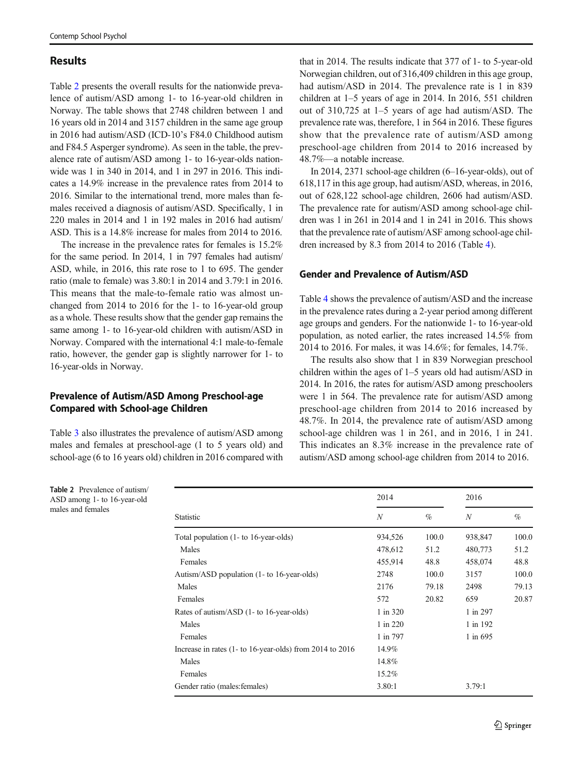#### Results

Table 2 presents the overall results for the nationwide prevalence of autism/ASD among 1- to 16-year-old children in Norway. The table shows that 2748 children between 1 and 16 years old in 2014 and 3157 children in the same age group in 2016 had autism/ASD (ICD-10's F84.0 Childhood autism and F84.5 Asperger syndrome). As seen in the table, the prevalence rate of autism/ASD among 1- to 16-year-olds nationwide was 1 in 340 in 2014, and 1 in 297 in 2016. This indicates a 14.9% increase in the prevalence rates from 2014 to 2016. Similar to the international trend, more males than females received a diagnosis of autism/ASD. Specifically, 1 in 220 males in 2014 and 1 in 192 males in 2016 had autism/ ASD. This is a 14.8% increase for males from 2014 to 2016.

The increase in the prevalence rates for females is 15.2% for the same period. In 2014, 1 in 797 females had autism/ ASD, while, in 2016, this rate rose to 1 to 695. The gender ratio (male to female) was 3.80:1 in 2014 and 3.79:1 in 2016. This means that the male-to-female ratio was almost unchanged from 2014 to 2016 for the 1- to 16-year-old group as a whole. These results show that the gender gap remains the same among 1- to 16-year-old children with autism/ASD in Norway. Compared with the international 4:1 male-to-female ratio, however, the gender gap is slightly narrower for 1- to 16-year-olds in Norway.

#### Prevalence of Autism/ASD Among Preschool-age Compared with School-age Children

Table [3](#page-7-0) also illustrates the prevalence of autism/ASD among males and females at preschool-age (1 to 5 years old) and school-age (6 to 16 years old) children in 2016 compared with

that in 2014. The results indicate that 377 of 1- to 5-year-old Norwegian children, out of 316,409 children in this age group, had autism/ASD in 2014. The prevalence rate is 1 in 839 children at 1–5 years of age in 2014. In 2016, 551 children out of 310,725 at 1–5 years of age had autism/ASD. The prevalence rate was, therefore, 1 in 564 in 2016. These figures show that the prevalence rate of autism/ASD among preschool-age children from 2014 to 2016 increased by 48.7%—a notable increase.

In 2014, 2371 school-age children (6–16-year-olds), out of 618,117 in this age group, had autism/ASD, whereas, in 2016, out of 628,122 school-age children, 2606 had autism/ASD. The prevalence rate for autism/ASD among school-age children was 1 in 261 in 2014 and 1 in 241 in 2016. This shows that the prevalence rate of autism/ASF among school-age children increased by 8.3 from 2014 to 2016 (Table [4](#page-7-0)).

#### Gender and Prevalence of Autism/ASD

Table [4](#page-7-0) shows the prevalence of autism/ASD and the increase in the prevalence rates during a 2-year period among different age groups and genders. For the nationwide 1- to 16-year-old population, as noted earlier, the rates increased 14.5% from 2014 to 2016. For males, it was 14.6%; for females, 14.7%.

The results also show that 1 in 839 Norwegian preschool children within the ages of 1–5 years old had autism/ASD in 2014. In 2016, the rates for autism/ASD among preschoolers were 1 in 564. The prevalence rate for autism/ASD among preschool-age children from 2014 to 2016 increased by 48.7%. In 2014, the prevalence rate of autism/ASD among school-age children was 1 in 261, and in 2016, 1 in 241. This indicates an 8.3% increase in the prevalence rate of autism/ASD among school-age children from 2014 to 2016.

Table 2 Prevalence of autism/ ASD among 1- to 16-year-old males and females

|                                                               | 2014             |       | 2016     |       |
|---------------------------------------------------------------|------------------|-------|----------|-------|
| Statistic                                                     | $\boldsymbol{N}$ | %     | N        | $\%$  |
| Total population (1- to 16-year-olds)                         | 934,526          | 100.0 | 938,847  | 100.0 |
| Males                                                         | 478,612          | 51.2  | 480,773  | 51.2  |
| Females                                                       | 455,914          | 48.8  | 458,074  | 48.8  |
| Autism/ASD population (1- to 16-year-olds)                    | 2748             | 100.0 | 3157     | 100.0 |
| Males                                                         | 2176             | 79.18 | 2498     | 79.13 |
| Females                                                       | 572              | 20.82 | 659      | 20.87 |
| Rates of autism/ASD (1- to 16-year-olds)                      | 1 in 320         |       | 1 in 297 |       |
| Males                                                         | 1 in 220         |       | 1 in 192 |       |
| Females                                                       | 1 in 797         |       | 1 in 695 |       |
| Increase in rates $(1 - t_0 16$ -year-olds) from 2014 to 2016 | 14.9%            |       |          |       |
| Males                                                         | 14.8%            |       |          |       |
| Females                                                       | 15.2%            |       |          |       |
| Gender ratio (males: females)                                 | 3.80:1           |       | 3.79:1   |       |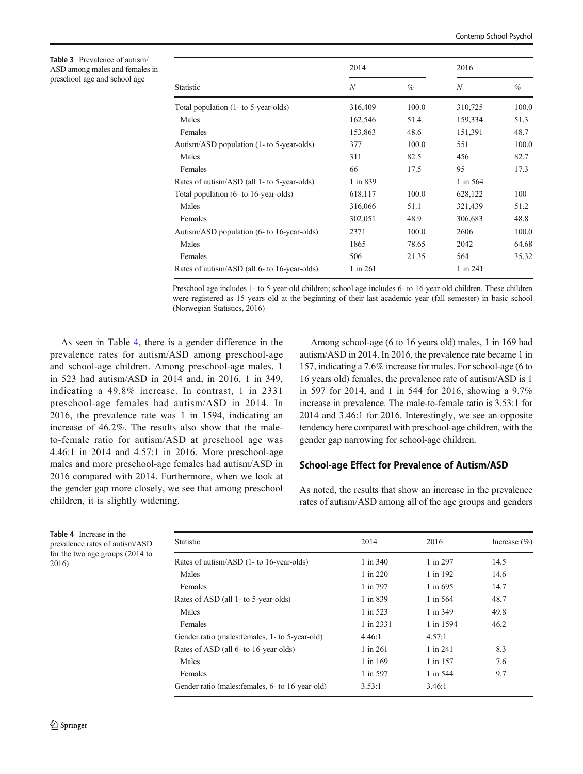<span id="page-7-0"></span>

| <b>Table 3</b> Prevalence of autism/ |
|--------------------------------------|
| ASD among males and females in       |
| preschool age and school age         |

|                                              | 2014             |       | 2016             |       |
|----------------------------------------------|------------------|-------|------------------|-------|
| Statistic                                    | $\boldsymbol{N}$ | $\%$  | $\boldsymbol{N}$ | $\%$  |
| Total population (1- to 5-year-olds)         | 316,409          | 100.0 | 310,725          | 100.0 |
| Males                                        | 162,546          | 51.4  | 159,334          | 51.3  |
| Females                                      | 153,863          | 48.6  | 151,391          | 48.7  |
| Autism/ASD population (1- to 5-year-olds)    | 377              | 100.0 | 551              | 100.0 |
| Males                                        | 311              | 82.5  | 456              | 82.7  |
| Females                                      | 66               | 17.5  | 95               | 17.3  |
| Rates of autism/ASD (all 1- to 5-year-olds)  | 1 in 839         |       | 1 in 564         |       |
| Total population (6- to 16-year-olds)        | 618,117          | 100.0 | 628,122          | 100   |
| Males                                        | 316,066          | 51.1  | 321,439          | 51.2  |
| Females                                      | 302,051          | 48.9  | 306,683          | 48.8  |
| Autism/ASD population (6- to 16-year-olds)   | 2371             | 100.0 | 2606             | 100.0 |
| Males                                        | 1865             | 78.65 | 2042             | 64.68 |
| Females                                      | 506              | 21.35 | 564              | 35.32 |
| Rates of autism/ASD (all 6- to 16-year-olds) | 1 in 261         |       | 1 in 241         |       |

Preschool age includes 1- to 5-year-old children; school age includes 6- to 16-year-old children. These children were registered as 15 years old at the beginning of their last academic year (fall semester) in basic school (Norwegian Statistics, 2016)

As seen in Table 4, there is a gender difference in the prevalence rates for autism/ASD among preschool-age and school-age children. Among preschool-age males, 1 in 523 had autism/ASD in 2014 and, in 2016, 1 in 349, indicating a 49.8% increase. In contrast, 1 in 2331 preschool-age females had autism/ASD in 2014. In 2016, the prevalence rate was 1 in 1594, indicating an increase of 46.2%. The results also show that the maleto-female ratio for autism/ASD at preschool age was 4.46:1 in 2014 and 4.57:1 in 2016. More preschool-age males and more preschool-age females had autism/ASD in 2016 compared with 2014. Furthermore, when we look at the gender gap more closely, we see that among preschool children, it is slightly widening.

Among school-age (6 to 16 years old) males, 1 in 169 had autism/ASD in 2014. In 2016, the prevalence rate became 1 in 157, indicating a 7.6% increase for males. For school-age (6 to 16 years old) females, the prevalence rate of autism/ASD is 1 in 597 for 2014, and 1 in 544 for 2016, showing a 9.7% increase in prevalence. The male-to-female ratio is 3.53:1 for 2014 and 3.46:1 for 2016. Interestingly, we see an opposite tendency here compared with preschool-age children, with the gender gap narrowing for school-age children.

#### School-age Effect for Prevalence of Autism/ASD

As noted, the results that show an increase in the prevalence rates of autism/ASD among all of the age groups and genders

Table 4 Increase in the prevalence rates of autism/ASD for the two age groups (2014 to 2016)

| <b>Statistic</b>                                 | 2014       | 2016       | Increase $(\% )$ |
|--------------------------------------------------|------------|------------|------------------|
| Rates of autism/ASD (1- to 16-year-olds)         | 1 in 340   | 1 in 297   | 14.5             |
| Males                                            | 1 in 220   | 1 in 192   | 14.6             |
| Females                                          | 1 in 797   | $1$ in 695 | 14.7             |
| Rates of ASD (all 1- to 5-year-olds)             | 1 in 839   | 1 in 564   | 48.7             |
| Males                                            | $1$ in 523 | 1 in 349   | 49.8             |
| Females                                          | 1 in 2331  | 1 in 1594  | 46.2             |
| Gender ratio (males: females, 1- to 5-year-old)  | 4.46:1     | 4.57:1     |                  |
| Rates of ASD (all 6- to 16-year-olds)            | 1 in 261   | 1 in 241   | 8.3              |
| Males                                            | 1 in 169   | 1 in 157   | 7.6              |
| Females                                          | 1 in 597   | 1 in 544   | 9.7              |
| Gender ratio (males: females, 6- to 16-year-old) | 3.53:1     | 3.46:1     |                  |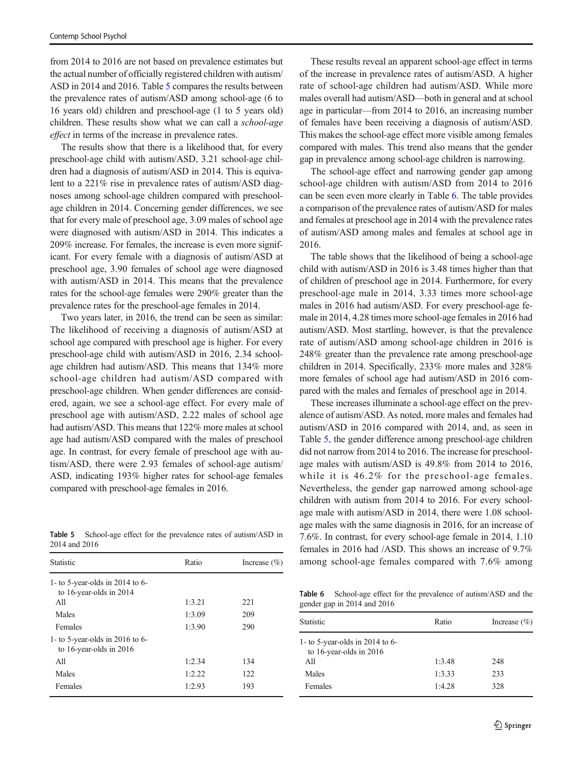from 2014 to 2016 are not based on prevalence estimates but the actual number of officially registered children with autism/ ASD in 2014 and 2016. Table 5 compares the results between the prevalence rates of autism/ASD among school-age (6 to 16 years old) children and preschool-age (1 to 5 years old) children. These results show what we can call a school-age effect in terms of the increase in prevalence rates.

The results show that there is a likelihood that, for every preschool-age child with autism/ASD, 3.21 school-age children had a diagnosis of autism/ASD in 2014. This is equivalent to a 221% rise in prevalence rates of autism/ASD diagnoses among school-age children compared with preschoolage children in 2014. Concerning gender differences, we see that for every male of preschool age, 3.09 males of school age were diagnosed with autism/ASD in 2014. This indicates a 209% increase. For females, the increase is even more significant. For every female with a diagnosis of autism/ASD at preschool age, 3.90 females of school age were diagnosed with autism/ASD in 2014. This means that the prevalence rates for the school-age females were 290% greater than the prevalence rates for the preschool-age females in 2014.

Two years later, in 2016, the trend can be seen as similar: The likelihood of receiving a diagnosis of autism/ASD at school age compared with preschool age is higher. For every preschool-age child with autism/ASD in 2016, 2.34 schoolage children had autism/ASD. This means that 134% more school-age children had autism/ASD compared with preschool-age children. When gender differences are considered, again, we see a school-age effect. For every male of preschool age with autism/ASD, 2.22 males of school age had autism/ASD. This means that 122% more males at school age had autism/ASD compared with the males of preschool age. In contrast, for every female of preschool age with autism/ASD, there were 2.93 females of school-age autism/ ASD, indicating 193% higher rates for school-age females compared with preschool-age females in 2016.

Table 5 School-age effect for the prevalence rates of autism/ASD in 2014 and 2016

| Statistic                                                    | Ratio  | Increase $(\% )$ |
|--------------------------------------------------------------|--------|------------------|
| 1- to 5-year-olds in 2014 to 6-<br>to 16-year-olds in $2014$ |        |                  |
| All                                                          | 1:3.21 | 221              |
| Males                                                        | 1:3.09 | 209              |
| Females                                                      | 1:3.90 | 290              |
| 1- to 5-year-olds in 2016 to 6-<br>to 16-year-olds in $2016$ |        |                  |
| All                                                          | 1:2.34 | 134              |
| Males                                                        | 1:2.22 | 122              |
| Females                                                      | 1:2.93 | 193              |

These results reveal an apparent school-age effect in terms of the increase in prevalence rates of autism/ASD. A higher rate of school-age children had autism/ASD. While more males overall had autism/ASD—both in general and at school age in particular—from 2014 to 2016, an increasing number of females have been receiving a diagnosis of autism/ASD. This makes the school-age effect more visible among females compared with males. This trend also means that the gender gap in prevalence among school-age children is narrowing.

The school-age effect and narrowing gender gap among school-age children with autism/ASD from 2014 to 2016 can be seen even more clearly in Table 6. The table provides a comparison of the prevalence rates of autism/ASD for males and females at preschool age in 2014 with the prevalence rates of autism/ASD among males and females at school age in 2016.

The table shows that the likelihood of being a school-age child with autism/ASD in 2016 is 3.48 times higher than that of children of preschool age in 2014. Furthermore, for every preschool-age male in 2014, 3.33 times more school-age males in 2016 had autism/ASD. For every preschool-age female in 2014, 4.28 times more school-age females in 2016 had autism/ASD. Most startling, however, is that the prevalence rate of autism/ASD among school-age children in 2016 is 248% greater than the prevalence rate among preschool-age children in 2014. Specifically, 233% more males and 328% more females of school age had autism/ASD in 2016 compared with the males and females of preschool age in 2014.

These increases illuminate a school-age effect on the prevalence of autism/ASD. As noted, more males and females had autism/ASD in 2016 compared with 2014, and, as seen in Table 5, the gender difference among preschool-age children did not narrow from 2014 to 2016. The increase for preschoolage males with autism/ASD is 49.8% from 2014 to 2016, while it is 46.2% for the preschool-age females. Nevertheless, the gender gap narrowed among school-age children with autism from 2014 to 2016. For every schoolage male with autism/ASD in 2014, there were 1.08 schoolage males with the same diagnosis in 2016, for an increase of 7.6%. In contrast, for every school-age female in 2014, 1.10 females in 2016 had /ASD. This shows an increase of 9.7% among school-age females compared with 7.6% among

Table 6 School-age effect for the prevalence of autism/ASD and the gender gap in 2014 and 2016

| Statistic                                                    | Ratio            | Increase $(\% )$ |
|--------------------------------------------------------------|------------------|------------------|
| 1- to 5-year-olds in 2014 to 6-<br>to 16-year-olds in $2016$ |                  |                  |
| All<br>Males                                                 | 1:3.48<br>1:3.33 | 248<br>233       |
| Females                                                      | 1:4.28           | 328              |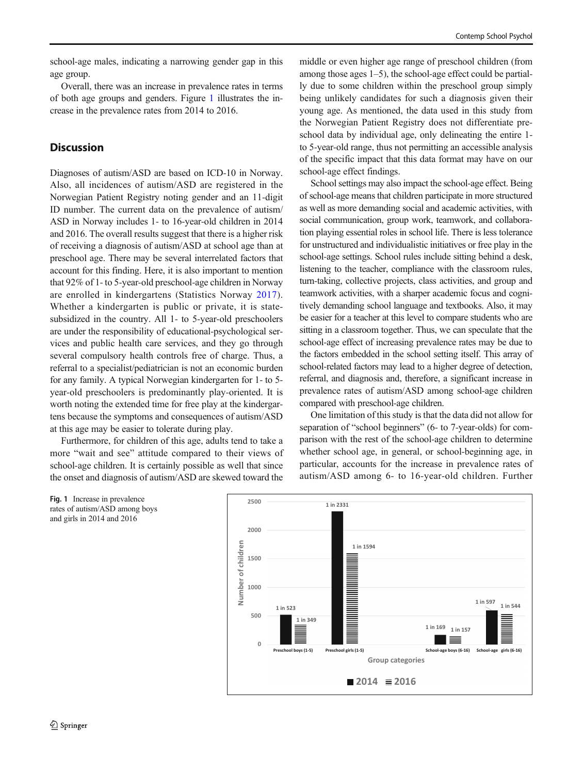school-age males, indicating a narrowing gender gap in this age group.

Overall, there was an increase in prevalence rates in terms of both age groups and genders. Figure 1 illustrates the increase in the prevalence rates from 2014 to 2016.

#### **Discussion**

Diagnoses of autism/ASD are based on ICD-10 in Norway. Also, all incidences of autism/ASD are registered in the Norwegian Patient Registry noting gender and an 11-digit ID number. The current data on the prevalence of autism/ ASD in Norway includes 1- to 16-year-old children in 2014 and 2016. The overall results suggest that there is a higher risk of receiving a diagnosis of autism/ASD at school age than at preschool age. There may be several interrelated factors that account for this finding. Here, it is also important to mention that 92% of 1- to 5-year-old preschool-age children in Norway are enrolled in kindergartens (Statistics Norway [2017](#page-11-0)). Whether a kindergarten is public or private, it is statesubsidized in the country. All 1- to 5-year-old preschoolers are under the responsibility of educational-psychological services and public health care services, and they go through several compulsory health controls free of charge. Thus, a referral to a specialist/pediatrician is not an economic burden for any family. A typical Norwegian kindergarten for 1- to 5 year-old preschoolers is predominantly play-oriented. It is worth noting the extended time for free play at the kindergartens because the symptoms and consequences of autism/ASD at this age may be easier to tolerate during play.

Furthermore, for children of this age, adults tend to take a more "wait and see" attitude compared to their views of school-age children. It is certainly possible as well that since the onset and diagnosis of autism/ASD are skewed toward the

middle or even higher age range of preschool children (from among those ages 1–5), the school-age effect could be partially due to some children within the preschool group simply being unlikely candidates for such a diagnosis given their young age. As mentioned, the data used in this study from the Norwegian Patient Registry does not differentiate preschool data by individual age, only delineating the entire 1 to 5-year-old range, thus not permitting an accessible analysis of the specific impact that this data format may have on our school-age effect findings.

School settings may also impact the school-age effect. Being of school-age means that children participate in more structured as well as more demanding social and academic activities, with social communication, group work, teamwork, and collaboration playing essential roles in school life. There is less tolerance for unstructured and individualistic initiatives or free play in the school-age settings. School rules include sitting behind a desk, listening to the teacher, compliance with the classroom rules, turn-taking, collective projects, class activities, and group and teamwork activities, with a sharper academic focus and cognitively demanding school language and textbooks. Also, it may be easier for a teacher at this level to compare students who are sitting in a classroom together. Thus, we can speculate that the school-age effect of increasing prevalence rates may be due to the factors embedded in the school setting itself. This array of school-related factors may lead to a higher degree of detection, referral, and diagnosis and, therefore, a significant increase in prevalence rates of autism/ASD among school-age children compared with preschool-age children.

One limitation of this study is that the data did not allow for separation of "school beginners" (6- to 7-year-olds) for comparison with the rest of the school-age children to determine whether school age, in general, or school-beginning age, in particular, accounts for the increase in prevalence rates of autism/ASD among 6- to 16-year-old children. Further



Fig. 1 Increase in prevalence rates of autism/ASD among boys and girls in 2014 and 2016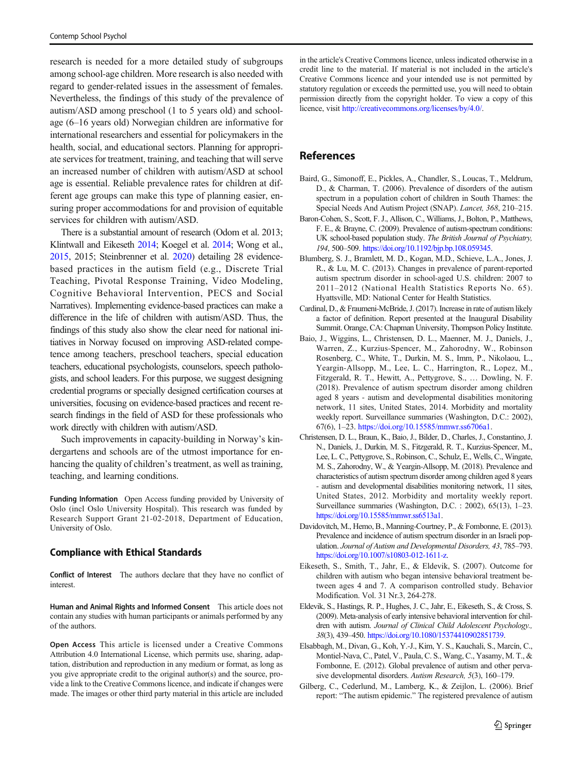<span id="page-10-0"></span>research is needed for a more detailed study of subgroups among school-age children. More research is also needed with regard to gender-related issues in the assessment of females. Nevertheless, the findings of this study of the prevalence of autism/ASD among preschool (1 to 5 years old) and schoolage (6–16 years old) Norwegian children are informative for international researchers and essential for policymakers in the health, social, and educational sectors. Planning for appropriate services for treatment, training, and teaching that will serve an increased number of children with autism/ASD at school age is essential. Reliable prevalence rates for children at different age groups can make this type of planning easier, ensuring proper accommodations for and provision of equitable services for children with autism/ASD.

There is a substantial amount of research (Odom et al. 2013; Klintwall and Eikeseth [2014](#page-11-0); Koegel et al. [2014;](#page-11-0) Wong et al., [2015](#page-11-0), 2015; Steinbrenner et al. [2020\)](#page-11-0) detailing 28 evidencebased practices in the autism field (e.g., Discrete Trial Teaching, Pivotal Response Training, Video Modeling, Cognitive Behavioral Intervention, PECS and Social Narratives). Implementing evidence-based practices can make a difference in the life of children with autism/ASD. Thus, the findings of this study also show the clear need for national initiatives in Norway focused on improving ASD-related competence among teachers, preschool teachers, special education teachers, educational psychologists, counselors, speech pathologists, and school leaders. For this purpose, we suggest designing credential programs or specially designed certification courses at universities, focusing on evidence-based practices and recent research findings in the field of ASD for these professionals who work directly with children with autism/ASD.

Such improvements in capacity-building in Norway's kindergartens and schools are of the utmost importance for enhancing the quality of children's treatment, as well as training, teaching, and learning conditions.

Funding Information Open Access funding provided by University of Oslo (incl Oslo University Hospital). This research was funded by Research Support Grant 21-02-2018, Department of Education, University of Oslo.

#### Compliance with Ethical Standards

Conflict of Interest The authors declare that they have no conflict of interest.

Human and Animal Rights and Informed Consent This article does not contain any studies with human participants or animals performed by any of the authors.

Open Access This article is licensed under a Creative Commons Attribution 4.0 International License, which permits use, sharing, adaptation, distribution and reproduction in any medium or format, as long as you give appropriate credit to the original author(s) and the source, provide a link to the Creative Commons licence, and indicate if changes were made. The images or other third party material in this article are included in the article's Creative Commons licence, unless indicated otherwise in a credit line to the material. If material is not included in the article's Creative Commons licence and your intended use is not permitted by statutory regulation or exceeds the permitted use, you will need to obtain permission directly from the copyright holder. To view a copy of this licence, visit <http://creativecommons.org/licenses/by/4.0/>.

#### References

- Baird, G., Simonoff, E., Pickles, A., Chandler, S., Loucas, T., Meldrum, D., & Charman, T. (2006). Prevalence of disorders of the autism spectrum in a population cohort of children in South Thames: the Special Needs And Autism Project (SNAP). Lancet, 368, 210–215.
- Baron-Cohen, S., Scott, F. J., Allison, C., Williams, J., Bolton, P., Matthews, F. E., & Brayne, C. (2009). Prevalence of autism-spectrum conditions: UK school-based population study. The British Journal of Psychiatry, 194, 500–509. [https://doi.org/10.1192/bjp.bp.108.059345.](https://doi.org/10.1192/bjp.bp.108.059345)
- Blumberg, S. J., Bramlett, M. D., Kogan, M.D., Schieve, L.A., Jones, J. R., & Lu, M. C. (2013). Changes in prevalence of parent-reported autism spectrum disorder in school-aged U.S. children: 2007 to 2011–2012 (National Health Statistics Reports No. 65). Hyattsville, MD: National Center for Health Statistics.
- Cardinal, D., & Fraumeni-McBride, J. (2017). Increase in rate of autism likely a factor of definition. Report presented at the Inaugural Disability Summit. Orange, CA: Chapman University, Thompson Policy Institute.
- Baio, J., Wiggins, L., Christensen, D. L., Maenner, M. J., Daniels, J., Warren, Z., Kurzius-Spencer, M., Zahorodny, W., Robinson Rosenberg, C., White, T., Durkin, M. S., Imm, P., Nikolaou, L., Yeargin-Allsopp, M., Lee, L. C., Harrington, R., Lopez, M., Fitzgerald, R. T., Hewitt, A., Pettygrove, S., … Dowling, N. F. (2018). Prevalence of autism spectrum disorder among children aged 8 years - autism and developmental disabilities monitoring network, 11 sites, United States, 2014. Morbidity and mortality weekly report. Surveillance summaries (Washington, D.C.: 2002), 67(6), 1–23. <https://doi.org/10.15585/mmwr.ss6706a1>.
- Christensen, D. L., Braun, K., Baio, J., Bilder, D., Charles, J., Constantino, J. N., Daniels, J., Durkin, M. S., Fitzgerald, R. T., Kurzius-Spencer, M., Lee, L. C., Pettygrove, S., Robinson, C., Schulz, E., Wells, C., Wingate, M. S., Zahorodny, W., & Yeargin-Allsopp, M. (2018). Prevalence and characteristics of autism spectrum disorder among children aged 8 years - autism and developmental disabilities monitoring network, 11 sites, United States, 2012. Morbidity and mortality weekly report. Surveillance summaries (Washington, D.C. : 2002), 65(13), 1–23. [https://doi.org/10.15585/mmwr.ss6513a1.](https://doi.org/10.15585/mmwr.ss6513a1)
- Davidovitch, M., Hemo, B., Manning-Courtney, P., & Fombonne, E. (2013). Prevalence and incidence of autism spectrum disorder in an Israeli population. Journal of Autism and Developmental Disorders, 43, 785–793. <https://doi.org/10.1007/s10803-012-1611-z>.
- Eikeseth, S., Smith, T., Jahr, E., & Eldevik, S. (2007). Outcome for children with autism who began intensive behavioral treatment between ages 4 and 7. A comparison controlled study. Behavior Modification. Vol. 31 Nr.3, 264-278.
- Eldevik, S., Hastings, R. P., Hughes, J. C., Jahr, E., Eikeseth, S., & Cross, S. (2009). Meta-analysis of early intensive behavioral intervention for children with autism. Journal of Clinical Child Adolescent Psychology., 38(3), 439–450. [https://doi.org/10.1080/15374410902851739.](https://doi.org/10.1080/15374410902851739)
- Elsabbagh, M., Divan, G., Koh, Y.-J., Kim, Y. S., Kauchali, S., Marcín, C., Montiel-Nava, C., Patel, V., Paula, C. S., Wang, C., Yasamy, M. T., & Fombonne, E. (2012). Global prevalence of autism and other pervasive developmental disorders. Autism Research, 5(3), 160–179.
- Gilberg, C., Cederlund, M., Lamberg, K., & Zeijlon, L. (2006). Brief report: "The autism epidemic." The registered prevalence of autism